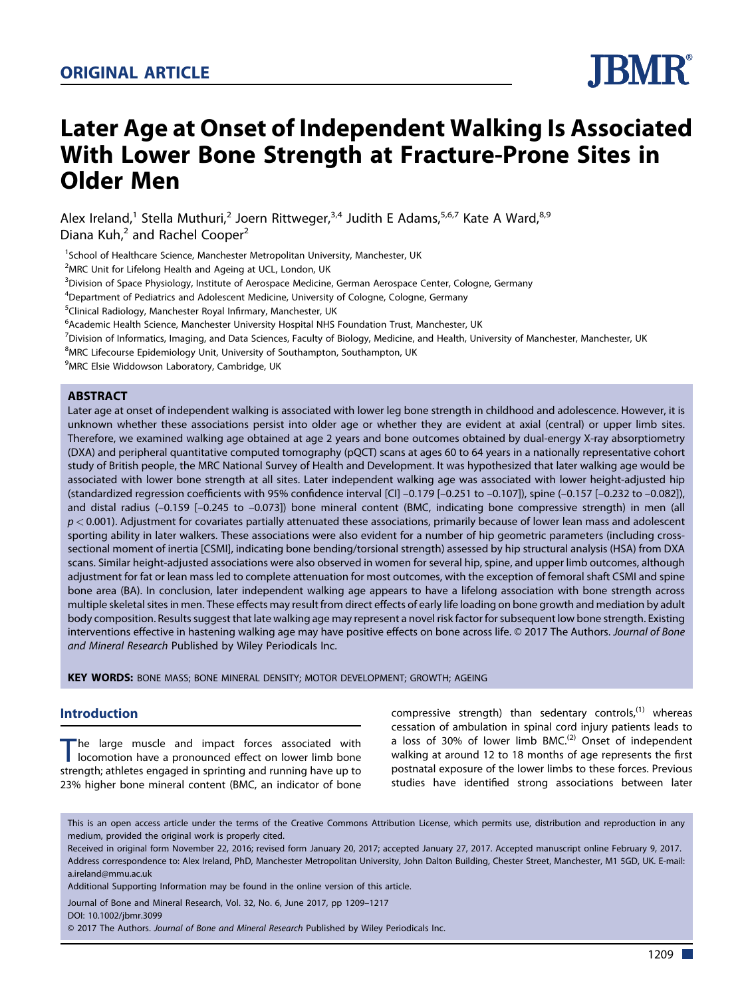

# Later Age at Onset of Independent Walking Is Associated With Lower Bone Strength at Fracture-Prone Sites in Older Men

Alex Ireland,<sup>1</sup> Stella Muthuri,<sup>2</sup> Joern Rittweger,<sup>3,4</sup> Judith E Adams,<sup>5,6,7</sup> Kate A Ward,<sup>8,9</sup> Diana Kuh,<sup>2</sup> and Rachel Cooper<sup>2</sup>

<sup>1</sup>School of Healthcare Science, Manchester Metropolitan University, Manchester, UK

<sup>2</sup>MRC Unit for Lifelong Health and Ageing at UCL, London, UK

3 Division of Space Physiology, Institute of Aerospace Medicine, German Aerospace Center, Cologne, Germany

<sup>4</sup>Department of Pediatrics and Adolescent Medicine, University of Cologne, Cologne, Germany

<sup>5</sup>Clinical Radiology, Manchester Royal Infirmary, Manchester, UK

<sup>6</sup>Academic Health Science, Manchester University Hospital NHS Foundation Trust, Manchester, UK

<sup>7</sup> Division of Informatics, Imaging, and Data Sciences, Faculty of Biology, Medicine, and Health, University of Manchester, Manchester, UK

<sup>8</sup>MRC Lifecourse Epidemiology Unit, University of Southampton, Southampton, UK

9 MRC Elsie Widdowson Laboratory, Cambridge, UK

#### **ABSTRACT**

Later age at onset of independent walking is associated with lower leg bone strength in childhood and adolescence. However, it is unknown whether these associations persist into older age or whether they are evident at axial (central) or upper limb sites. Therefore, we examined walking age obtained at age 2 years and bone outcomes obtained by dual-energy X-ray absorptiometry (DXA) and peripheral quantitative computed tomography (pQCT) scans at ages 60 to 64 years in a nationally representative cohort study of British people, the MRC National Survey of Health and Development. It was hypothesized that later walking age would be associated with lower bone strength at all sites. Later independent walking age was associated with lower height-adjusted hip (standardized regression coefficients with 95% confidence interval [CI] –0.179 [–0.251 to –0.107]), spine (–0.157 [–0.232 to –0.082]), and distal radius (–0.159 [–0.245 to –0.073]) bone mineral content (BMC, indicating bone compressive strength) in men (all  $p < 0.001$ ). Adjustment for covariates partially attenuated these associations, primarily because of lower lean mass and adolescent sporting ability in later walkers. These associations were also evident for a number of hip geometric parameters (including crosssectional moment of inertia [CSMI], indicating bone bending/torsional strength) assessed by hip structural analysis (HSA) from DXA scans. Similar height-adjusted associations were also observed in women for several hip, spine, and upper limb outcomes, although adjustment for fat or lean mass led to complete attenuation for most outcomes, with the exception of femoral shaft CSMI and spine bone area (BA). In conclusion, later independent walking age appears to have a lifelong association with bone strength across multiple skeletal sites in men. These effects may result from direct effects of early life loading on bone growth and mediation by adult body composition. Results suggest that late walking age may represent a novel risk factor for subsequent low bone strength. Existing interventions effective in hastening walking age may have positive effects on bone across life. © 2017 The Authors. Journal of Bone and Mineral Research Published by Wiley Periodicals Inc.

KEY WORDS: BONE MASS; BONE MINERAL DENSITY; MOTOR DEVELOPMENT; GROWTH; AGEING

#### Introduction

The large muscle and impact forces associated with<br>locomotion have a pronounced effect on lower limb bone<br>structure that the company is presiding and muscle have up to strength; athletes engaged in sprinting and running have up to 23% higher bone mineral content (BMC, an indicator of bone

compressive strength) than sedentary controls, $^{(1)}$  whereas cessation of ambulation in spinal cord injury patients leads to a loss of 30% of lower limb  $BMC<sup>(2)</sup>$  Onset of independent walking at around 12 to 18 months of age represents the first postnatal exposure of the lower limbs to these forces. Previous studies have identified strong associations between later

This is an open access article under the terms of the [Creative Commons Attribution](http://creativecommons.org/licenses/by/4.0/) License, which permits use, distribution and reproduction in any medium, provided the original work is properly cited.

Received in original form November 22, 2016; revised form January 20, 2017; accepted January 27, 2017. Accepted manuscript online February 9, 2017. Address correspondence to: Alex Ireland, PhD, Manchester Metropolitan University, John Dalton Building, Chester Street, Manchester, M1 5GD, UK. E-mail: a.ireland@mmu.ac.uk

Additional Supporting Information may be found in the online version of this article.

Journal of Bone and Mineral Research, Vol. 32, No. 6, June 2017, pp 1209–1217

DOI: 10.1002/jbmr.3099

© 2017 The Authors. Journal of Bone and Mineral Research Published by Wiley Periodicals Inc.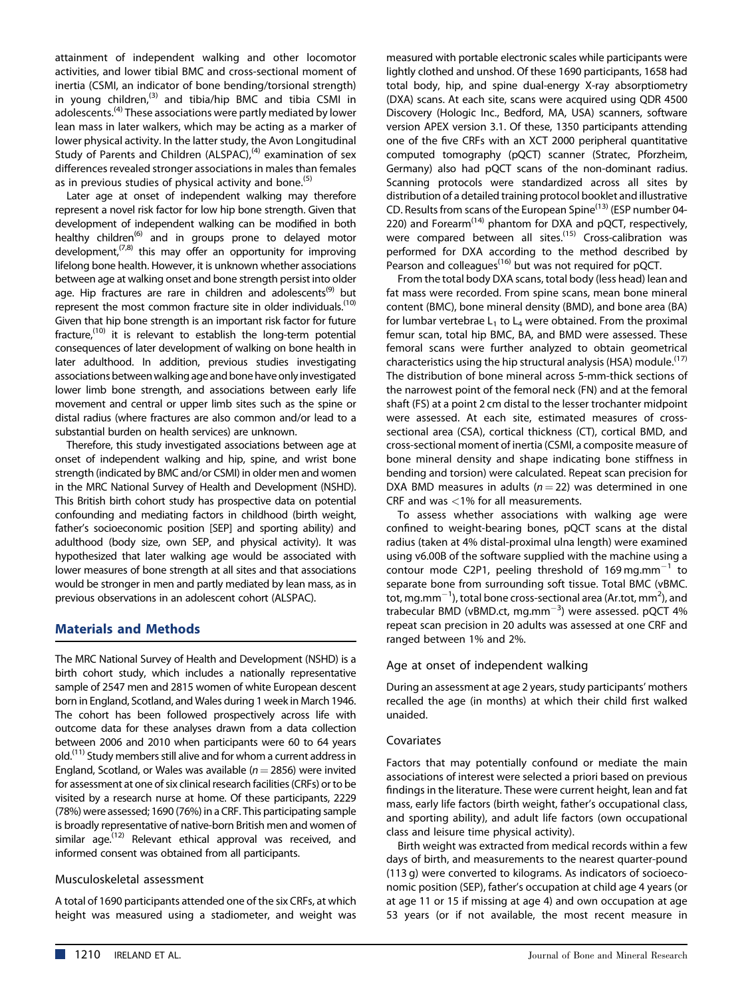attainment of independent walking and other locomotor activities, and lower tibial BMC and cross-sectional moment of inertia (CSMI, an indicator of bone bending/torsional strength) in young children,<sup>(3)</sup> and tibia/hip BMC and tibia CSMI in adolescents.(4) These associations were partly mediated by lower lean mass in later walkers, which may be acting as a marker of lower physical activity. In the latter study, the Avon Longitudinal Study of Parents and Children  $(ALSPAC)$ ,<sup>(4)</sup> examination of sex differences revealed stronger associations in males than females as in previous studies of physical activity and bone.<sup>(5)</sup>

Later age at onset of independent walking may therefore represent a novel risk factor for low hip bone strength. Given that development of independent walking can be modified in both healthy children<sup>(6)</sup> and in groups prone to delayed motor development,<sup> $(7,8)$ </sup> this may offer an opportunity for improving lifelong bone health. However, it is unknown whether associations between age at walking onset and bone strength persist into older age. Hip fractures are rare in children and adolescents<sup>(9)</sup> but represent the most common fracture site in older individuals.<sup>(10)</sup> Given that hip bone strength is an important risk factor for future fracture, $^{(10)}$  it is relevant to establish the long-term potential consequences of later development of walking on bone health in later adulthood. In addition, previous studies investigating associations between walking age and bone have only investigated lower limb bone strength, and associations between early life movement and central or upper limb sites such as the spine or distal radius (where fractures are also common and/or lead to a substantial burden on health services) are unknown.

Therefore, this study investigated associations between age at onset of independent walking and hip, spine, and wrist bone strength (indicated by BMC and/or CSMI) in older men and women in the MRC National Survey of Health and Development (NSHD). This British birth cohort study has prospective data on potential confounding and mediating factors in childhood (birth weight, father's socioeconomic position [SEP] and sporting ability) and adulthood (body size, own SEP, and physical activity). It was hypothesized that later walking age would be associated with lower measures of bone strength at all sites and that associations would be stronger in men and partly mediated by lean mass, as in previous observations in an adolescent cohort (ALSPAC).

## Materials and Methods

The MRC National Survey of Health and Development (NSHD) is a birth cohort study, which includes a nationally representative sample of 2547 men and 2815 women of white European descent born in England, Scotland, and Wales during 1 week in March 1946. The cohort has been followed prospectively across life with outcome data for these analyses drawn from a data collection between 2006 and 2010 when participants were 60 to 64 years old.<sup>(11)</sup> Study members still alive and for whom a current address in England, Scotland, or Wales was available ( $n = 2856$ ) were invited for assessment at one of six clinical research facilities (CRFs) or to be visited by a research nurse at home. Of these participants, 2229 (78%) were assessed; 1690 (76%) in a CRF. This participating sample is broadly representative of native-born British men and women of similar age.<sup>(12)</sup> Relevant ethical approval was received, and informed consent was obtained from all participants.

## Musculoskeletal assessment

A total of 1690 participants attended one of the six CRFs, at which height was measured using a stadiometer, and weight was measured with portable electronic scales while participants were lightly clothed and unshod. Of these 1690 participants, 1658 had total body, hip, and spine dual-energy X-ray absorptiometry (DXA) scans. At each site, scans were acquired using QDR 4500 Discovery (Hologic Inc., Bedford, MA, USA) scanners, software version APEX version 3.1. Of these, 1350 participants attending one of the five CRFs with an XCT 2000 peripheral quantitative computed tomography (pQCT) scanner (Stratec, Pforzheim, Germany) also had pQCT scans of the non-dominant radius. Scanning protocols were standardized across all sites by distribution of a detailed training protocol booklet and illustrative CD. Results from scans of the European Spine<sup>(13)</sup> (ESP number 04-220) and Forearm<sup> $(14)$ </sup> phantom for DXA and pQCT, respectively, were compared between all sites.<sup>(15)</sup> Cross-calibration was performed for DXA according to the method described by Pearson and colleagues<sup>(16)</sup> but was not required for pQCT.

From the total body DXA scans, total body (less head) lean and fat mass were recorded. From spine scans, mean bone mineral content (BMC), bone mineral density (BMD), and bone area (BA) for lumbar vertebrae  $L_1$  to  $L_4$  were obtained. From the proximal femur scan, total hip BMC, BA, and BMD were assessed. These femoral scans were further analyzed to obtain geometrical characteristics using the hip structural analysis (HSA) module.<sup>(17)</sup> The distribution of bone mineral across 5-mm-thick sections of the narrowest point of the femoral neck (FN) and at the femoral shaft (FS) at a point 2 cm distal to the lesser trochanter midpoint were assessed. At each site, estimated measures of crosssectional area (CSA), cortical thickness (CT), cortical BMD, and cross-sectional moment of inertia (CSMI, a composite measure of bone mineral density and shape indicating bone stiffness in bending and torsion) were calculated. Repeat scan precision for DXA BMD measures in adults ( $n = 22$ ) was determined in one CRF and was <1% for all measurements.

To assess whether associations with walking age were confined to weight-bearing bones, pQCT scans at the distal radius (taken at 4% distal-proximal ulna length) were examined using v6.00B of the software supplied with the machine using a contour mode C2P1, peeling threshold of 169 $\,$ mg.mm $^{-1}$  to separate bone from surrounding soft tissue. Total BMC (vBMC. tot, mg.mm $^{-1}$ ), total bone cross-sectional area (Ar.tot, mm<sup>2</sup>), and trabecular BMD (vBMD.ct, mg.mm<sup>-3</sup>) were assessed. pQCT 4% repeat scan precision in 20 adults was assessed at one CRF and ranged between 1% and 2%.

## Age at onset of independent walking

During an assessment at age 2 years, study participants' mothers recalled the age (in months) at which their child first walked unaided.

#### Covariates

Factors that may potentially confound or mediate the main associations of interest were selected a priori based on previous findings in the literature. These were current height, lean and fat mass, early life factors (birth weight, father's occupational class, and sporting ability), and adult life factors (own occupational class and leisure time physical activity).

Birth weight was extracted from medical records within a few days of birth, and measurements to the nearest quarter-pound (113 g) were converted to kilograms. As indicators of socioeconomic position (SEP), father's occupation at child age 4 years (or at age 11 or 15 if missing at age 4) and own occupation at age 53 years (or if not available, the most recent measure in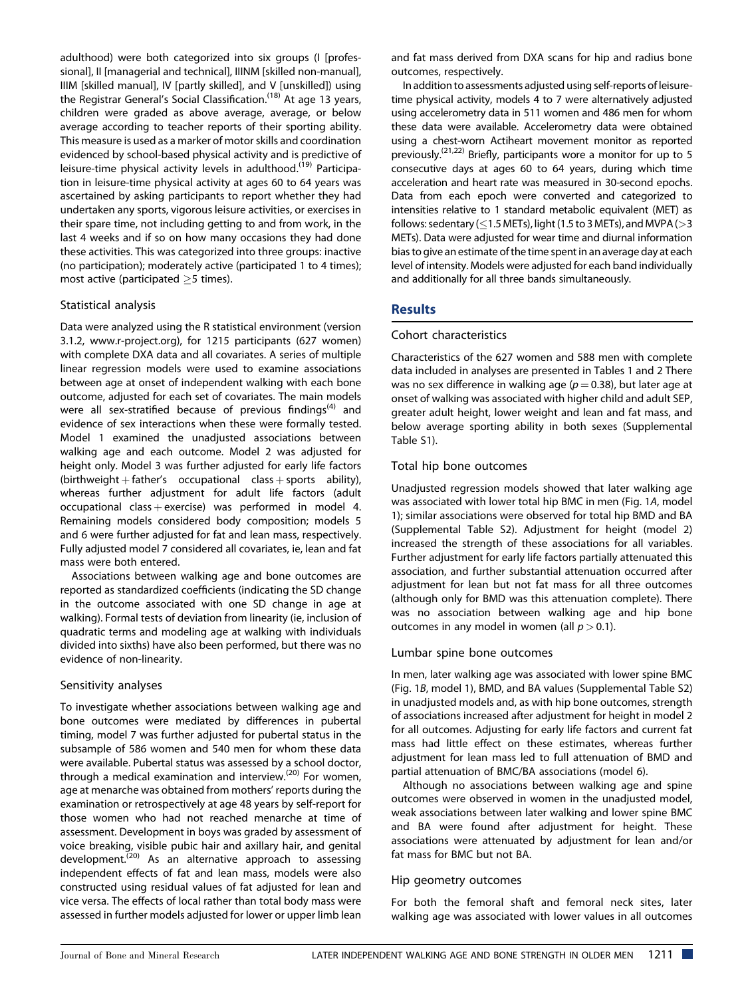adulthood) were both categorized into six groups (I [professional], II [managerial and technical], IIINM [skilled non-manual], IIIM [skilled manual], IV [partly skilled], and V [unskilled]) using the Registrar General's Social Classification.(18) At age 13 years, children were graded as above average, average, or below average according to teacher reports of their sporting ability. This measure is used as a marker of motor skills and coordination evidenced by school-based physical activity and is predictive of leisure-time physical activity levels in adulthood.<sup>(19)</sup> Participation in leisure-time physical activity at ages 60 to 64 years was ascertained by asking participants to report whether they had undertaken any sports, vigorous leisure activities, or exercises in their spare time, not including getting to and from work, in the last 4 weeks and if so on how many occasions they had done these activities. This was categorized into three groups: inactive (no participation); moderately active (participated 1 to 4 times); most active (participated  $>5$  times).

#### Statistical analysis

Data were analyzed using the R statistical environment (version 3.1.2, [www.r-project.org](http://www.r-project.org)), for 1215 participants (627 women) with complete DXA data and all covariates. A series of multiple linear regression models were used to examine associations between age at onset of independent walking with each bone outcome, adjusted for each set of covariates. The main models were all sex-stratified because of previous findings<sup>(4)</sup> and evidence of sex interactions when these were formally tested. Model 1 examined the unadjusted associations between walking age and each outcome. Model 2 was adjusted for height only. Model 3 was further adjusted for early life factors (birthweight  $+$  father's occupational class  $+$  sports ability), whereas further adjustment for adult life factors (adult occupational class  $+$  exercise) was performed in model 4. Remaining models considered body composition; models 5 and 6 were further adjusted for fat and lean mass, respectively. Fully adjusted model 7 considered all covariates, ie, lean and fat mass were both entered.

Associations between walking age and bone outcomes are reported as standardized coefficients (indicating the SD change in the outcome associated with one SD change in age at walking). Formal tests of deviation from linearity (ie, inclusion of quadratic terms and modeling age at walking with individuals divided into sixths) have also been performed, but there was no evidence of non-linearity.

## Sensitivity analyses

To investigate whether associations between walking age and bone outcomes were mediated by differences in pubertal timing, model 7 was further adjusted for pubertal status in the subsample of 586 women and 540 men for whom these data were available. Pubertal status was assessed by a school doctor, through a medical examination and interview.<sup>(20)</sup> For women, age at menarche was obtained from mothers' reports during the examination or retrospectively at age 48 years by self-report for those women who had not reached menarche at time of assessment. Development in boys was graded by assessment of voice breaking, visible pubic hair and axillary hair, and genital development.(20) As an alternative approach to assessing independent effects of fat and lean mass, models were also constructed using residual values of fat adjusted for lean and vice versa. The effects of local rather than total body mass were assessed in further models adjusted for lower or upper limb lean

and fat mass derived from DXA scans for hip and radius bone outcomes, respectively.

In addition to assessments adjusted using self-reports of leisuretime physical activity, models 4 to 7 were alternatively adjusted using accelerometry data in 511 women and 486 men for whom these data were available. Accelerometry data were obtained using a chest-worn Actiheart movement monitor as reported previously.(21,22) Briefly, participants wore a monitor for up to 5 consecutive days at ages 60 to 64 years, during which time acceleration and heart rate was measured in 30-second epochs. Data from each epoch were converted and categorized to intensities relative to 1 standard metabolic equivalent (MET) as follows: sedentary ( $\leq$ 1.5 METs), light (1.5 to 3 METs), and MVPA ( $>$ 3 METs). Data were adjusted for wear time and diurnal information bias to give an estimate of the time spent in an average day at each level of intensity. Models were adjusted for each band individually and additionally for all three bands simultaneously.

# **Results**

#### Cohort characteristics

Characteristics of the 627 women and 588 men with complete data included in analyses are presented in Tables 1 and 2 There was no sex difference in walking age ( $p = 0.38$ ), but later age at onset of walking was associated with higher child and adult SEP, greater adult height, lower weight and lean and fat mass, and below average sporting ability in both sexes (Supplemental Table S1).

#### Total hip bone outcomes

Unadjusted regression models showed that later walking age was associated with lower total hip BMC in men (Fig. 1A, model 1); similar associations were observed for total hip BMD and BA (Supplemental Table S2). Adjustment for height (model 2) increased the strength of these associations for all variables. Further adjustment for early life factors partially attenuated this association, and further substantial attenuation occurred after adjustment for lean but not fat mass for all three outcomes (although only for BMD was this attenuation complete). There was no association between walking age and hip bone outcomes in any model in women (all  $p > 0.1$ ).

## Lumbar spine bone outcomes

In men, later walking age was associated with lower spine BMC (Fig. 1B, model 1), BMD, and BA values (Supplemental Table S2) in unadjusted models and, as with hip bone outcomes, strength of associations increased after adjustment for height in model 2 for all outcomes. Adjusting for early life factors and current fat mass had little effect on these estimates, whereas further adjustment for lean mass led to full attenuation of BMD and partial attenuation of BMC/BA associations (model 6).

Although no associations between walking age and spine outcomes were observed in women in the unadjusted model, weak associations between later walking and lower spine BMC and BA were found after adjustment for height. These associations were attenuated by adjustment for lean and/or fat mass for BMC but not BA.

## Hip geometry outcomes

For both the femoral shaft and femoral neck sites, later walking age was associated with lower values in all outcomes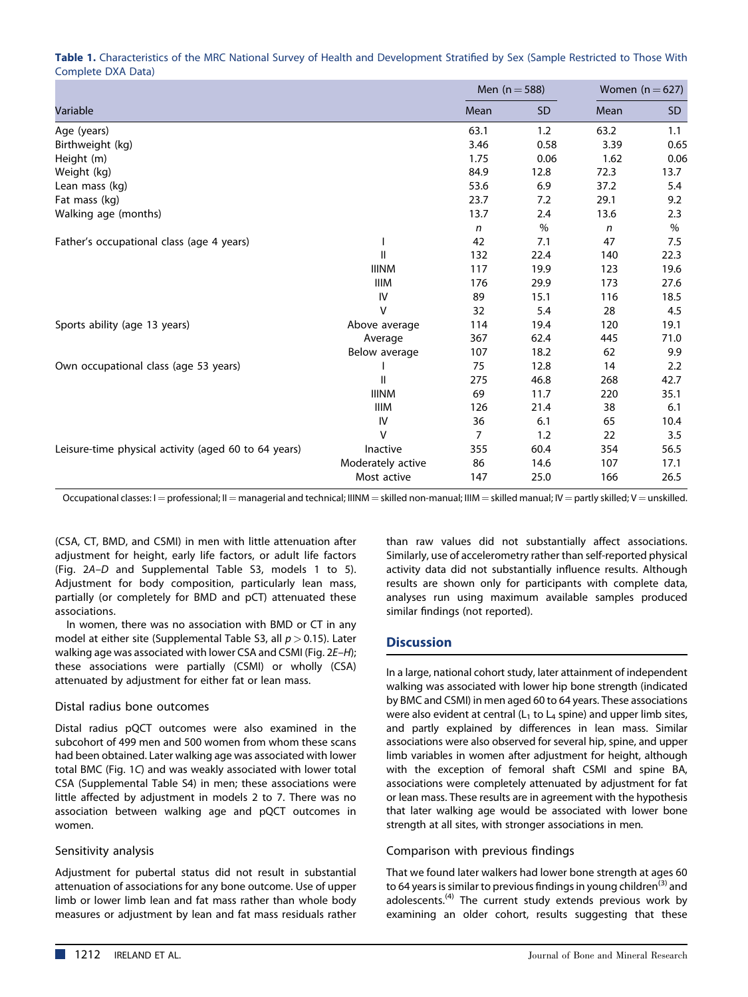Table 1. Characteristics of the MRC National Survey of Health and Development Stratified by Sex (Sample Restricted to Those With Complete DXA Data)

|                                                      |                   | Men $(n = 588)$ |           | Women $(n=627)$ |      |
|------------------------------------------------------|-------------------|-----------------|-----------|-----------------|------|
| Variable                                             |                   | Mean            | <b>SD</b> | Mean            | SD.  |
| Age (years)                                          |                   | 63.1            | 1.2       | 63.2            | 1.1  |
| Birthweight (kg)                                     |                   | 3.46            | 0.58      | 3.39            | 0.65 |
| Height (m)                                           |                   | 1.75            | 0.06      | 1.62            | 0.06 |
| Weight (kg)                                          |                   | 84.9            | 12.8      | 72.3            | 13.7 |
| Lean mass (kg)                                       |                   | 53.6            | 6.9       | 37.2            | 5.4  |
| Fat mass (kg)                                        |                   | 23.7            | 7.2       | 29.1            | 9.2  |
| Walking age (months)                                 |                   | 13.7            | 2.4       | 13.6            | 2.3  |
|                                                      |                   | n               | $\%$      | $\mathsf{n}$    | $\%$ |
| Father's occupational class (age 4 years)            |                   | 42              | 7.1       | 47              | 7.5  |
|                                                      | $\mathbf{H}$      | 132             | 22.4      | 140             | 22.3 |
|                                                      | <b>IIINM</b>      | 117             | 19.9      | 123             | 19.6 |
|                                                      | <b>IIIM</b>       | 176             | 29.9      | 173             | 27.6 |
|                                                      | IV                | 89              | 15.1      | 116             | 18.5 |
|                                                      | $\vee$            | 32              | 5.4       | 28              | 4.5  |
| Sports ability (age 13 years)                        | Above average     | 114             | 19.4      | 120             | 19.1 |
|                                                      | Average           | 367             | 62.4      | 445             | 71.0 |
|                                                      | Below average     | 107             | 18.2      | 62              | 9.9  |
| Own occupational class (age 53 years)                |                   | 75              | 12.8      | 14              | 2.2  |
|                                                      | $\mathbf{H}$      | 275             | 46.8      | 268             | 42.7 |
|                                                      | <b>IIINM</b>      | 69              | 11.7      | 220             | 35.1 |
|                                                      | <b>IIIM</b>       | 126             | 21.4      | 38              | 6.1  |
|                                                      | IV                | 36              | 6.1       | 65              | 10.4 |
|                                                      | $\vee$            | 7               | 1.2       | 22              | 3.5  |
| Leisure-time physical activity (aged 60 to 64 years) | Inactive          | 355             | 60.4      | 354             | 56.5 |
|                                                      | Moderately active | 86              | 14.6      | 107             | 17.1 |
|                                                      | Most active       | 147             | 25.0      | 166             | 26.5 |

Occupational classes: I = professional; II = managerial and technical; IIINM = skilled non-manual; IIIM = skilled manual; IV = partly skilled; V = unskilled.

(CSA, CT, BMD, and CSMI) in men with little attenuation after adjustment for height, early life factors, or adult life factors (Fig. 2A–D and Supplemental Table S3, models 1 to 5). Adjustment for body composition, particularly lean mass, partially (or completely for BMD and pCT) attenuated these associations.

In women, there was no association with BMD or CT in any model at either site (Supplemental Table S3, all  $p > 0.15$ ). Later walking age was associated with lower CSA and CSMI (Fig. 2E-H); these associations were partially (CSMI) or wholly (CSA) attenuated by adjustment for either fat or lean mass.

## Distal radius bone outcomes

Distal radius pQCT outcomes were also examined in the subcohort of 499 men and 500 women from whom these scans had been obtained. Later walking age was associated with lower total BMC (Fig. 1C) and was weakly associated with lower total CSA (Supplemental Table S4) in men; these associations were little affected by adjustment in models 2 to 7. There was no association between walking age and pQCT outcomes in women.

## Sensitivity analysis

Adjustment for pubertal status did not result in substantial attenuation of associations for any bone outcome. Use of upper limb or lower limb lean and fat mass rather than whole body measures or adjustment by lean and fat mass residuals rather

than raw values did not substantially affect associations. Similarly, use of accelerometry rather than self-reported physical activity data did not substantially influence results. Although results are shown only for participants with complete data, analyses run using maximum available samples produced similar findings (not reported).

# **Discussion**

In a large, national cohort study, later attainment of independent walking was associated with lower hip bone strength (indicated by BMC and CSMI) in men aged 60 to 64 years. These associations were also evident at central  $(L_1$  to  $L_4$  spine) and upper limb sites, and partly explained by differences in lean mass. Similar associations were also observed for several hip, spine, and upper limb variables in women after adjustment for height, although with the exception of femoral shaft CSMI and spine BA, associations were completely attenuated by adjustment for fat or lean mass. These results are in agreement with the hypothesis that later walking age would be associated with lower bone strength at all sites, with stronger associations in men.

## Comparison with previous findings

That we found later walkers had lower bone strength at ages 60 to 64 years is similar to previous findings in young children<sup>(3)</sup> and adolescents.<sup>(4)</sup> The current study extends previous work by examining an older cohort, results suggesting that these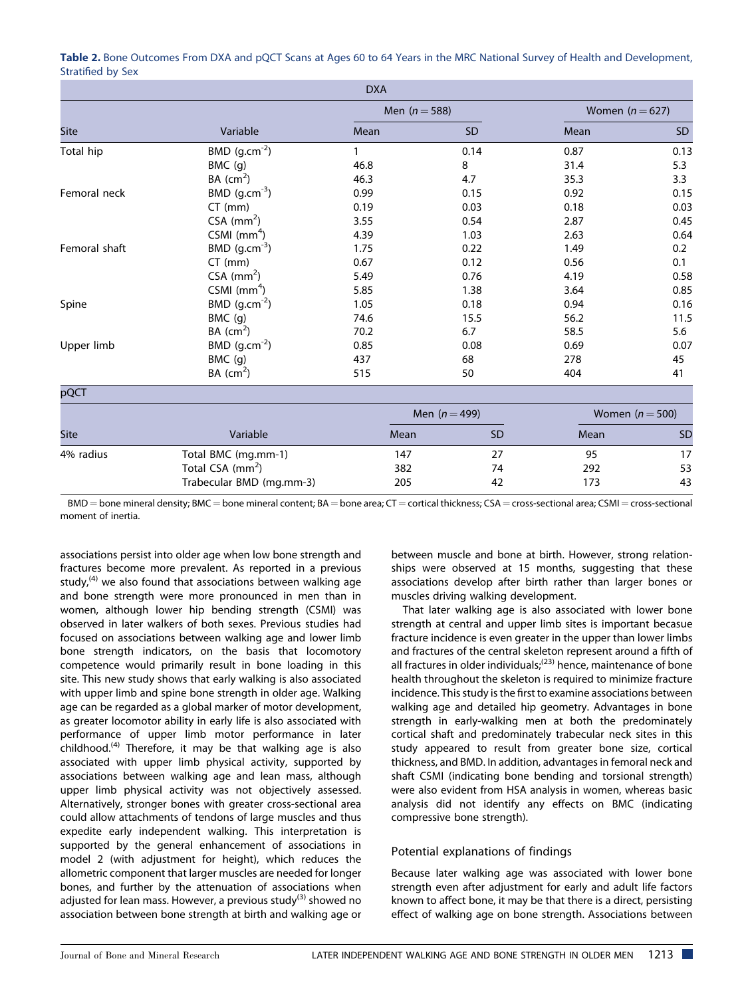| <b>DXA</b>    |                              |                 |                 |                   |           |  |  |  |  |
|---------------|------------------------------|-----------------|-----------------|-------------------|-----------|--|--|--|--|
|               |                              | Men $(n = 588)$ |                 | Women $(n=627)$   |           |  |  |  |  |
| <b>Site</b>   | Variable                     | Mean            | <b>SD</b>       | Mean              | <b>SD</b> |  |  |  |  |
| Total hip     | BMD $(g.cm^{-2})$            |                 | 0.14            | 0.87              | 0.13      |  |  |  |  |
|               | BMC (g)                      | 46.8            | 8               | 31.4              | 5.3       |  |  |  |  |
|               | BA (cm <sup>2</sup> )        | 46.3            | 4.7             | 35.3              | 3.3       |  |  |  |  |
| Femoral neck  | BMD $(g.cm^{-3})$            | 0.99            | 0.15            | 0.92              | 0.15      |  |  |  |  |
|               | $CT$ (mm)                    | 0.19            | 0.03            | 0.18              | 0.03      |  |  |  |  |
|               | $CSA$ (mm <sup>2</sup> )     | 3.55            | 0.54            | 2.87              | 0.45      |  |  |  |  |
|               | CSMI $(mm4)$                 | 4.39            | 1.03            | 2.63              | 0.64      |  |  |  |  |
| Femoral shaft | BMD $(g.cm^{-3})$            | 1.75            | 0.22            | 1.49              | 0.2       |  |  |  |  |
|               | $CT$ (mm)                    | 0.67            | 0.12            | 0.56              | 0.1       |  |  |  |  |
|               | $CSA$ (mm <sup>2</sup> )     | 5.49            | 0.76            | 4.19              | 0.58      |  |  |  |  |
|               | CSMI $(mm4)$                 | 5.85            | 1.38            | 3.64              | 0.85      |  |  |  |  |
| Spine         | BMD $(g.cm^{-2})$            | 1.05            | 0.18            | 0.94              | 0.16      |  |  |  |  |
|               | BMC (g)                      | 74.6            | 15.5            | 56.2              | 11.5      |  |  |  |  |
|               | BA (cm <sup>2</sup> )        | 70.2            | 6.7             | 58.5              | 5.6       |  |  |  |  |
| Upper limb    | BMD $(g.cm^{-2})$            | 0.85            | 0.08            | 0.69              | 0.07      |  |  |  |  |
|               | BMC (g)                      | 437             | 68              | 278               | 45        |  |  |  |  |
|               | BA (cm <sup>2</sup> )        | 515             | 50              | 404               | 41        |  |  |  |  |
| pQCT          |                              |                 |                 |                   |           |  |  |  |  |
|               |                              |                 | Men $(n = 499)$ | Women $(n = 500)$ |           |  |  |  |  |
| Site          | Variable                     | Mean            | <b>SD</b>       | Mean              | SD        |  |  |  |  |
| 4% radius     | Total BMC (mg.mm-1)          | 147             | 27              | 95                | 17        |  |  |  |  |
|               | Total CSA (mm <sup>2</sup> ) | 382             | 74              | 292               | 53        |  |  |  |  |
|               | Trabecular BMD (mg.mm-3)     | 205             | 42              | 173               | 43        |  |  |  |  |

Table 2. Bone Outcomes From DXA and pQCT Scans at Ages 60 to 64 Years in the MRC National Survey of Health and Development, Stratified by Sex

 $BMD =$  bone mineral density; BMC = bone mineral content; BA = bone area; CT = cortical thickness; CSA = cross-sectional area; CSMI = cross-sectional moment of inertia.

associations persist into older age when low bone strength and fractures become more prevalent. As reported in a previous study, $<sup>(4)</sup>$  we also found that associations between walking age</sup> and bone strength were more pronounced in men than in women, although lower hip bending strength (CSMI) was observed in later walkers of both sexes. Previous studies had focused on associations between walking age and lower limb bone strength indicators, on the basis that locomotory competence would primarily result in bone loading in this site. This new study shows that early walking is also associated with upper limb and spine bone strength in older age. Walking age can be regarded as a global marker of motor development, as greater locomotor ability in early life is also associated with performance of upper limb motor performance in later childhood.(4) Therefore, it may be that walking age is also associated with upper limb physical activity, supported by associations between walking age and lean mass, although upper limb physical activity was not objectively assessed. Alternatively, stronger bones with greater cross-sectional area could allow attachments of tendons of large muscles and thus expedite early independent walking. This interpretation is supported by the general enhancement of associations in model 2 (with adjustment for height), which reduces the allometric component that larger muscles are needed for longer bones, and further by the attenuation of associations when adjusted for lean mass. However, a previous study<sup>(3)</sup> showed no association between bone strength at birth and walking age or

between muscle and bone at birth. However, strong relationships were observed at 15 months, suggesting that these associations develop after birth rather than larger bones or muscles driving walking development.

That later walking age is also associated with lower bone strength at central and upper limb sites is important becasue fracture incidence is even greater in the upper than lower limbs and fractures of the central skeleton represent around a fifth of all fractures in older individuals;<sup>(23)</sup> hence, maintenance of bone health throughout the skeleton is required to minimize fracture incidence. This study is the first to examine associations between walking age and detailed hip geometry. Advantages in bone strength in early-walking men at both the predominately cortical shaft and predominately trabecular neck sites in this study appeared to result from greater bone size, cortical thickness, and BMD. In addition, advantages in femoral neck and shaft CSMI (indicating bone bending and torsional strength) were also evident from HSA analysis in women, whereas basic analysis did not identify any effects on BMC (indicating compressive bone strength).

## Potential explanations of findings

Because later walking age was associated with lower bone strength even after adjustment for early and adult life factors known to affect bone, it may be that there is a direct, persisting effect of walking age on bone strength. Associations between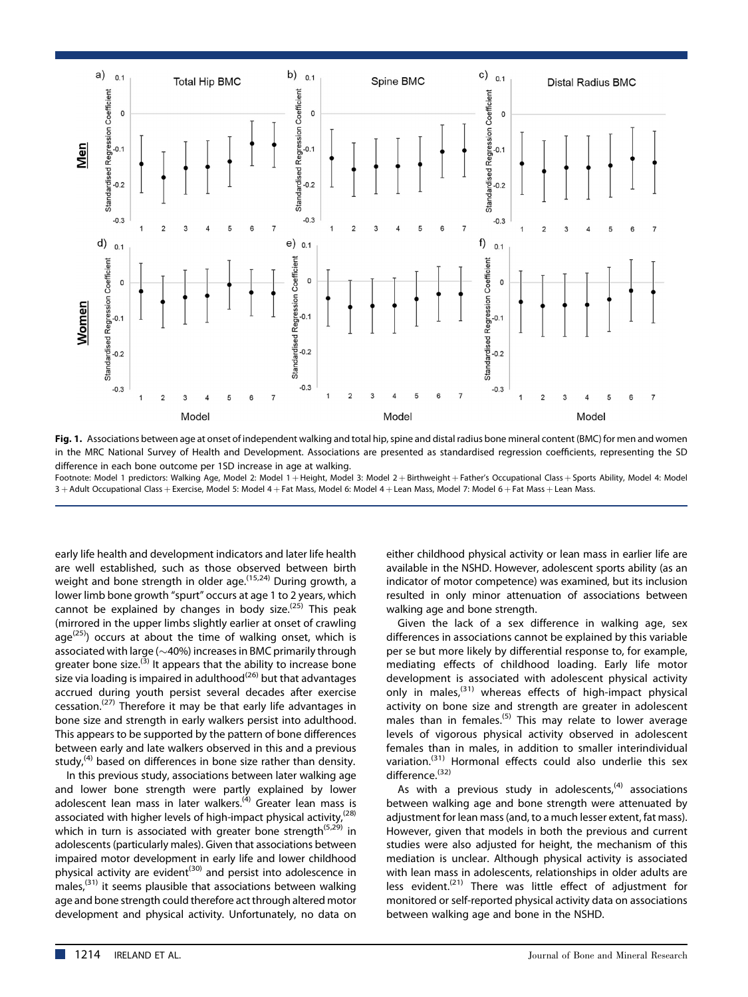



Footnote: Model 1 predictors: Walking Age, Model 2: Model 1 + Height, Model 3: Model 2 + Birthweight + Father's Occupational Class + Sports Ability, Model 4: Model 3 + Adult Occupational Class + Exercise, Model 5: Model 4 + Fat Mass, Model 6: Model 4 + Lean Mass, Model 7: Model 6 + Fat Mass + Lean Mass.

early life health and development indicators and later life health are well established, such as those observed between birth weight and bone strength in older age.<sup>(15,24)</sup> During growth, a lower limb bone growth "spurt" occurs at age 1 to 2 years, which cannot be explained by changes in body size.<sup> $(25)$ </sup> This peak (mirrored in the upper limbs slightly earlier at onset of crawling  $age^{(25)}$ ) occurs at about the time of walking onset, which is associated with large ( $\sim$ 40%) increases in BMC primarily through greater bone size.<sup>(3)</sup> It appears that the ability to increase bone size via loading is impaired in adulthood $(26)$  but that advantages accrued during youth persist several decades after exercise cessation.<sup>(27)</sup> Therefore it may be that early life advantages in bone size and strength in early walkers persist into adulthood. This appears to be supported by the pattern of bone differences between early and late walkers observed in this and a previous study, $<sup>(4)</sup>$  based on differences in bone size rather than density.</sup>

In this previous study, associations between later walking age and lower bone strength were partly explained by lower adolescent lean mass in later walkers.<sup>(4)</sup> Greater lean mass is associated with higher levels of high-impact physical activity,  $(28)$ which in turn is associated with greater bone strength<sup>(5,29)</sup> in adolescents (particularly males). Given that associations between impaired motor development in early life and lower childhood physical activity are evident<sup>(30)</sup> and persist into adolescence in males,(31) it seems plausible that associations between walking age and bone strength could therefore act through altered motor development and physical activity. Unfortunately, no data on

either childhood physical activity or lean mass in earlier life are available in the NSHD. However, adolescent sports ability (as an indicator of motor competence) was examined, but its inclusion resulted in only minor attenuation of associations between walking age and bone strength.

Given the lack of a sex difference in walking age, sex differences in associations cannot be explained by this variable per se but more likely by differential response to, for example, mediating effects of childhood loading. Early life motor development is associated with adolescent physical activity only in males,  $(31)$  whereas effects of high-impact physical activity on bone size and strength are greater in adolescent males than in females.<sup>(5)</sup> This may relate to lower average levels of vigorous physical activity observed in adolescent females than in males, in addition to smaller interindividual variation.<sup>(31)</sup> Hormonal effects could also underlie this sex difference.<sup>(32)</sup>

As with a previous study in adolescents, $(4)$  associations between walking age and bone strength were attenuated by adjustment for lean mass (and, to a much lesser extent, fat mass). However, given that models in both the previous and current studies were also adjusted for height, the mechanism of this mediation is unclear. Although physical activity is associated with lean mass in adolescents, relationships in older adults are less evident.<sup>(21)</sup> There was little effect of adjustment for monitored or self-reported physical activity data on associations between walking age and bone in the NSHD.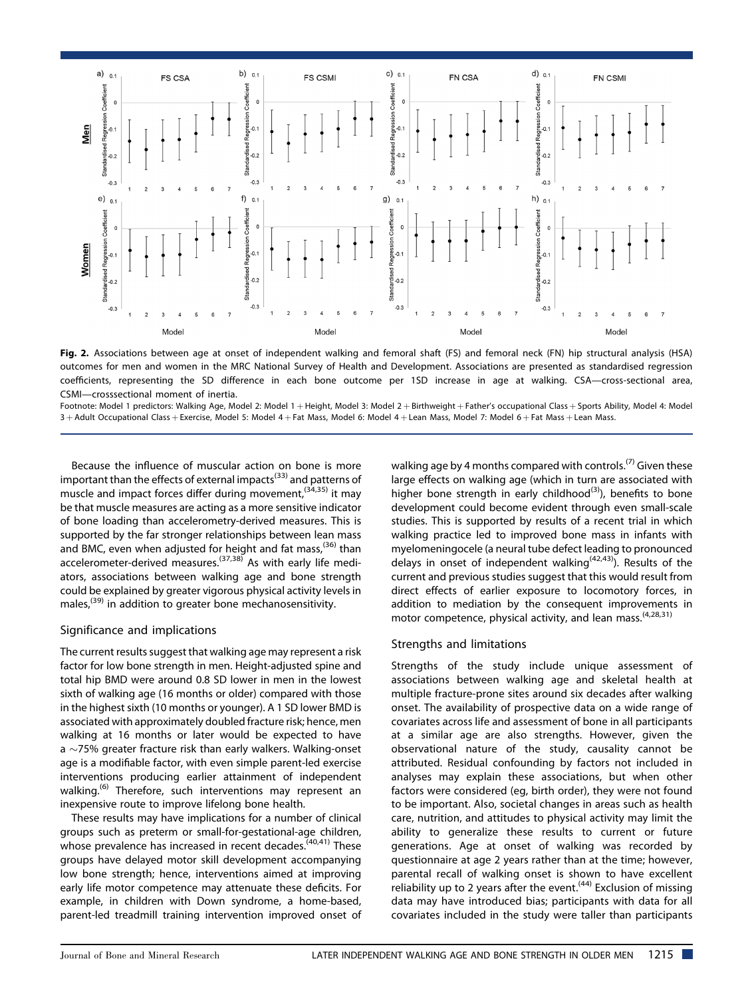

Fig. 2. Associations between age at onset of independent walking and femoral shaft (FS) and femoral neck (FN) hip structural analysis (HSA) outcomes for men and women in the MRC National Survey of Health and Development. Associations are presented as standardised regression coefficients, representing the SD difference in each bone outcome per 1SD increase in age at walking. CSA—cross-sectional area, CSMI—crosssectional moment of inertia.

Footnote: Model 1 predictors: Walking Age, Model 2: Model 1 + Height, Model 3: Model 2 + Birthweight + Father's occupational Class + Sports Ability, Model 4: Model 3 + Adult Occupational Class + Exercise, Model 5: Model 4 + Fat Mass, Model 6: Model 4 + Lean Mass, Model 7: Model 6 + Fat Mass + Lean Mass.

Because the influence of muscular action on bone is more important than the effects of external impacts<sup>(33)</sup> and patterns of muscle and impact forces differ during movement,  $(34,35)$  it may be that muscle measures are acting as a more sensitive indicator of bone loading than accelerometry-derived measures. This is supported by the far stronger relationships between lean mass and BMC, even when adjusted for height and fat mass,  $(36)$  than accelerometer-derived measures.<sup>(37,38)</sup> As with early life mediators, associations between walking age and bone strength could be explained by greater vigorous physical activity levels in males,<sup>(39)</sup> in addition to greater bone mechanosensitivity.

## Significance and implications

The current results suggest that walking age may represent a risk factor for low bone strength in men. Height-adjusted spine and total hip BMD were around 0.8 SD lower in men in the lowest sixth of walking age (16 months or older) compared with those in the highest sixth (10 months or younger). A 1 SD lower BMD is associated with approximately doubled fracture risk; hence, men walking at 16 months or later would be expected to have a  $\sim$ 75% greater fracture risk than early walkers. Walking-onset age is a modifiable factor, with even simple parent-led exercise interventions producing earlier attainment of independent walking.<sup>(6)</sup> Therefore, such interventions may represent an inexpensive route to improve lifelong bone health.

These results may have implications for a number of clinical groups such as preterm or small-for-gestational-age children, whose prevalence has increased in recent decades.<sup>(40,41)</sup> These groups have delayed motor skill development accompanying low bone strength; hence, interventions aimed at improving early life motor competence may attenuate these deficits. For example, in children with Down syndrome, a home-based, parent-led treadmill training intervention improved onset of walking age by 4 months compared with controls.<sup>(7)</sup> Given these large effects on walking age (which in turn are associated with higher bone strength in early childhood<sup>(3)</sup>), benefits to bone development could become evident through even small-scale studies. This is supported by results of a recent trial in which walking practice led to improved bone mass in infants with myelomeningocele (a neural tube defect leading to pronounced delays in onset of independent walking<sup> $(42,43)$ </sup>). Results of the current and previous studies suggest that this would result from direct effects of earlier exposure to locomotory forces, in addition to mediation by the consequent improvements in motor competence, physical activity, and lean mass.<sup>(4,28,31)</sup>

## Strengths and limitations

Strengths of the study include unique assessment of associations between walking age and skeletal health at multiple fracture-prone sites around six decades after walking onset. The availability of prospective data on a wide range of covariates across life and assessment of bone in all participants at a similar age are also strengths. However, given the observational nature of the study, causality cannot be attributed. Residual confounding by factors not included in analyses may explain these associations, but when other factors were considered (eg, birth order), they were not found to be important. Also, societal changes in areas such as health care, nutrition, and attitudes to physical activity may limit the ability to generalize these results to current or future generations. Age at onset of walking was recorded by questionnaire at age 2 years rather than at the time; however, parental recall of walking onset is shown to have excellent reliability up to 2 years after the event.<sup> $(44)$ </sup> Exclusion of missing data may have introduced bias; participants with data for all covariates included in the study were taller than participants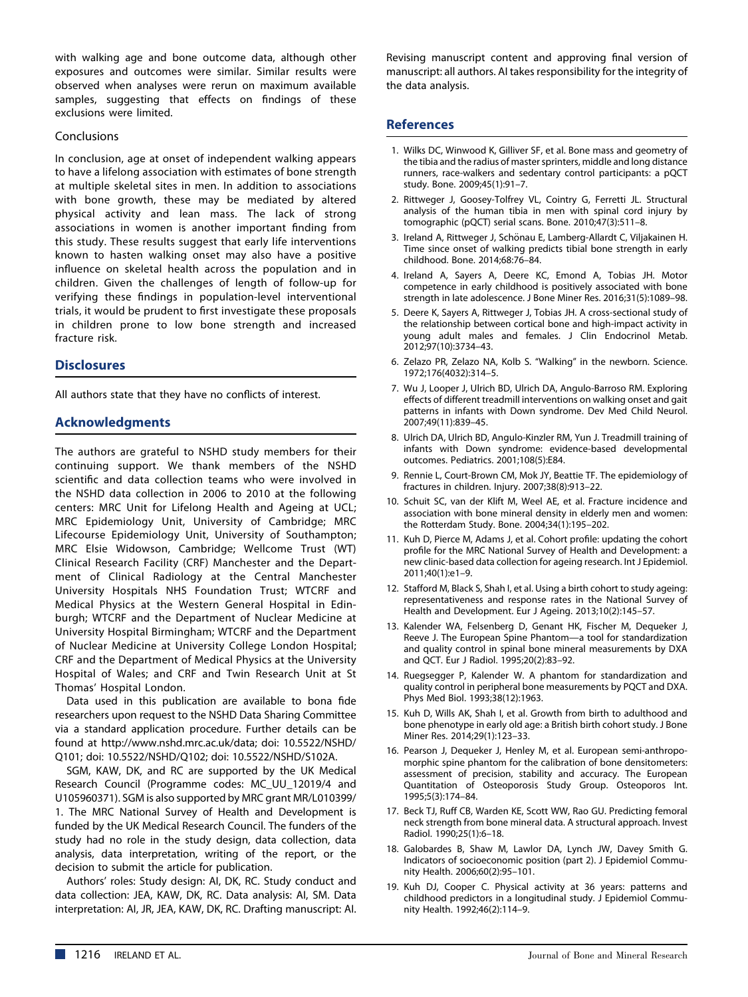with walking age and bone outcome data, although other exposures and outcomes were similar. Similar results were observed when analyses were rerun on maximum available samples, suggesting that effects on findings of these exclusions were limited.

#### Conclusions

In conclusion, age at onset of independent walking appears to have a lifelong association with estimates of bone strength at multiple skeletal sites in men. In addition to associations with bone growth, these may be mediated by altered physical activity and lean mass. The lack of strong associations in women is another important finding from this study. These results suggest that early life interventions known to hasten walking onset may also have a positive influence on skeletal health across the population and in children. Given the challenges of length of follow-up for verifying these findings in population-level interventional trials, it would be prudent to first investigate these proposals in children prone to low bone strength and increased fracture risk.

## **Disclosures**

All authors state that they have no conflicts of interest.

#### Acknowledgments

The authors are grateful to NSHD study members for their continuing support. We thank members of the NSHD scientific and data collection teams who were involved in the NSHD data collection in 2006 to 2010 at the following centers: MRC Unit for Lifelong Health and Ageing at UCL; MRC Epidemiology Unit, University of Cambridge; MRC Lifecourse Epidemiology Unit, University of Southampton; MRC Elsie Widowson, Cambridge; Wellcome Trust (WT) Clinical Research Facility (CRF) Manchester and the Department of Clinical Radiology at the Central Manchester University Hospitals NHS Foundation Trust; WTCRF and Medical Physics at the Western General Hospital in Edinburgh; WTCRF and the Department of Nuclear Medicine at University Hospital Birmingham; WTCRF and the Department of Nuclear Medicine at University College London Hospital; CRF and the Department of Medical Physics at the University Hospital of Wales; and CRF and Twin Research Unit at St Thomas' Hospital London.

Data used in this publication are available to bona fide researchers upon request to the NSHD Data Sharing Committee via a standard application procedure. Further details can be found at<http://www.nshd.mrc.ac.uk/data>; doi: 10.5522/NSHD/ Q101; doi: 10.5522/NSHD/Q102; doi: 10.5522/NSHD/S102A.

SGM, KAW, DK, and RC are supported by the UK Medical Research Council (Programme codes: MC\_UU\_12019/4 and U105960371). SGM is also supported by MRC grant MR/L010399/ 1. The MRC National Survey of Health and Development is funded by the UK Medical Research Council. The funders of the study had no role in the study design, data collection, data analysis, data interpretation, writing of the report, or the decision to submit the article for publication.

Authors' roles: Study design: AI, DK, RC. Study conduct and data collection: JEA, KAW, DK, RC. Data analysis: AI, SM. Data interpretation: AI, JR, JEA, KAW, DK, RC. Drafting manuscript: AI. Revising manuscript content and approving final version of manuscript: all authors. AI takes responsibility for the integrity of the data analysis.

#### References

- 1. Wilks DC, Winwood K, Gilliver SF, et al. Bone mass and geometry of the tibia and the radius of master sprinters, middle and long distance runners, race-walkers and sedentary control participants: a pQCT study. Bone. 2009;45(1):91–7.
- 2. Rittweger J, Goosey-Tolfrey VL, Cointry G, Ferretti JL. Structural analysis of the human tibia in men with spinal cord injury by tomographic (pQCT) serial scans. Bone. 2010;47(3):511–8.
- 3. Ireland A, Rittweger J, Schönau E, Lamberg-Allardt C, Viljakainen H. Time since onset of walking predicts tibial bone strength in early childhood. Bone. 2014;68:76–84.
- 4. Ireland A, Sayers A, Deere KC, Emond A, Tobias JH. Motor competence in early childhood is positively associated with bone strength in late adolescence. J Bone Miner Res. 2016;31(5):1089–98.
- 5. Deere K, Sayers A, Rittweger J, Tobias JH. A cross-sectional study of the relationship between cortical bone and high-impact activity in young adult males and females. J Clin Endocrinol Metab. 2012;97(10):3734–43.
- 6. Zelazo PR, Zelazo NA, Kolb S. "Walking" in the newborn. Science. 1972;176(4032):314–5.
- 7. Wu J, Looper J, Ulrich BD, Ulrich DA, Angulo-Barroso RM. Exploring effects of different treadmill interventions on walking onset and gait patterns in infants with Down syndrome. Dev Med Child Neurol. 2007;49(11):839–45.
- 8. Ulrich DA, Ulrich BD, Angulo-Kinzler RM, Yun J. Treadmill training of infants with Down syndrome: evidence-based developmental outcomes. Pediatrics. 2001;108(5):E84.
- 9. Rennie L, Court-Brown CM, Mok JY, Beattie TF. The epidemiology of fractures in children. Injury. 2007;38(8):913–22.
- 10. Schuit SC, van der Klift M, Weel AE, et al. Fracture incidence and association with bone mineral density in elderly men and women: the Rotterdam Study. Bone. 2004;34(1):195–202.
- 11. Kuh D, Pierce M, Adams J, et al. Cohort profile: updating the cohort profile for the MRC National Survey of Health and Development: a new clinic-based data collection for ageing research. Int J Epidemiol. 2011;40(1):e1–9.
- 12. Stafford M, Black S, Shah I, et al. Using a birth cohort to study ageing: representativeness and response rates in the National Survey of Health and Development. Eur J Ageing. 2013;10(2):145–57.
- 13. Kalender WA, Felsenberg D, Genant HK, Fischer M, Dequeker J, Reeve J. The European Spine Phantom—a tool for standardization and quality control in spinal bone mineral measurements by DXA and QCT. Eur J Radiol. 1995;20(2):83–92.
- 14. Ruegsegger P, Kalender W. A phantom for standardization and quality control in peripheral bone measurements by PQCT and DXA. Phys Med Biol. 1993;38(12):1963.
- 15. Kuh D, Wills AK, Shah I, et al. Growth from birth to adulthood and bone phenotype in early old age: a British birth cohort study. J Bone Miner Res. 2014;29(1):123–33.
- 16. Pearson J, Dequeker J, Henley M, et al. European semi-anthropomorphic spine phantom for the calibration of bone densitometers: assessment of precision, stability and accuracy. The European Quantitation of Osteoporosis Study Group. Osteoporos Int. 1995;5(3):174–84.
- 17. Beck TJ, Ruff CB, Warden KE, Scott WW, Rao GU. Predicting femoral neck strength from bone mineral data. A structural approach. Invest Radiol. 1990;25(1):6–18.
- 18. Galobardes B, Shaw M, Lawlor DA, Lynch JW, Davey Smith G. Indicators of socioeconomic position (part 2). J Epidemiol Community Health. 2006;60(2):95–101.
- 19. Kuh DJ, Cooper C. Physical activity at 36 years: patterns and childhood predictors in a longitudinal study. J Epidemiol Community Health. 1992;46(2):114–9.